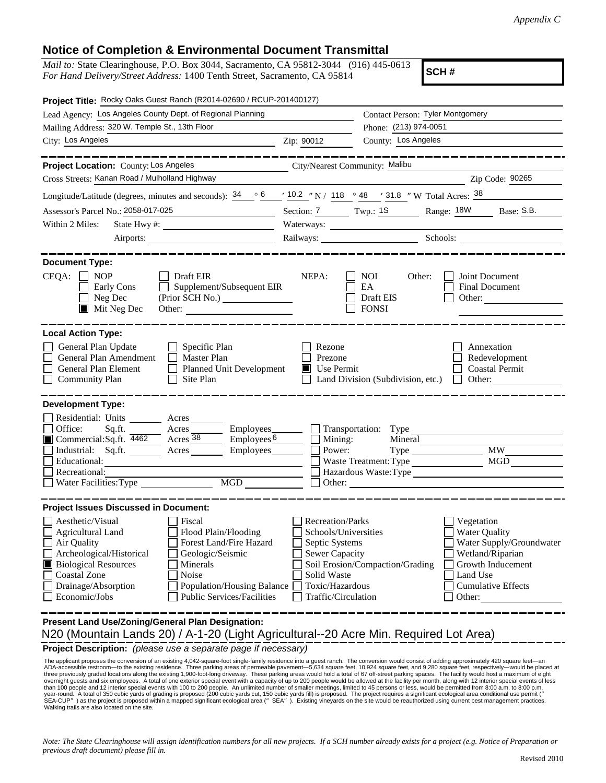## **Notice of Completion & Environmental Document Transmittal**

*Mail to:* State Clearinghouse, P.O. Box 3044, Sacramento, CA 95812-3044 (916) 445-0613 *For Hand Delivery/Street Address:* 1400 Tenth Street, Sacramento, CA 95814

**SCH #**

| Project Title: Rocky Oaks Guest Ranch (R2014-02690 / RCUP-201400127)                                                                                                                                                                                                                                                                                    |                                                                                                                                              |                                                                                                       |                                                                                                                                                     |  |  |
|---------------------------------------------------------------------------------------------------------------------------------------------------------------------------------------------------------------------------------------------------------------------------------------------------------------------------------------------------------|----------------------------------------------------------------------------------------------------------------------------------------------|-------------------------------------------------------------------------------------------------------|-----------------------------------------------------------------------------------------------------------------------------------------------------|--|--|
| Lead Agency: Los Angeles County Dept. of Regional Planning                                                                                                                                                                                                                                                                                              |                                                                                                                                              | Contact Person: Tyler Montgomery                                                                      |                                                                                                                                                     |  |  |
| Mailing Address: 320 W. Temple St., 13th Floor                                                                                                                                                                                                                                                                                                          |                                                                                                                                              | Phone: (213) 974-0051                                                                                 |                                                                                                                                                     |  |  |
| City: Los Angeles<br><u> 1980 - Johann Barbara, martin a</u>                                                                                                                                                                                                                                                                                            | Zip: 90012                                                                                                                                   | County: Los Angeles                                                                                   |                                                                                                                                                     |  |  |
|                                                                                                                                                                                                                                                                                                                                                         |                                                                                                                                              |                                                                                                       |                                                                                                                                                     |  |  |
| Project Location: County: Los Angeles                                                                                                                                                                                                                                                                                                                   | City/Nearest Community: Malibu                                                                                                               |                                                                                                       |                                                                                                                                                     |  |  |
| Cross Streets: Kanan Road / Mulholland Highway                                                                                                                                                                                                                                                                                                          |                                                                                                                                              |                                                                                                       | Zip Code: 90265                                                                                                                                     |  |  |
| Longitude/Latitude (degrees, minutes and seconds): $\frac{34}{9}$ $\frac{6}{9}$ $\frac{10.2}{9}$ N / 118 $\degree$ 48 $\degree$ 31.8 "W Total Acres: $\frac{38}{9}$                                                                                                                                                                                     |                                                                                                                                              |                                                                                                       |                                                                                                                                                     |  |  |
| Assessor's Parcel No.: 2058-017-025                                                                                                                                                                                                                                                                                                                     |                                                                                                                                              |                                                                                                       | Section: 7 Twp.: 1S Range: 18W Base: S.B.                                                                                                           |  |  |
| Within 2 Miles:                                                                                                                                                                                                                                                                                                                                         | Waterways:                                                                                                                                   |                                                                                                       |                                                                                                                                                     |  |  |
|                                                                                                                                                                                                                                                                                                                                                         |                                                                                                                                              |                                                                                                       | Railways: Schools: Schools:                                                                                                                         |  |  |
| <b>Document Type:</b><br>CEQA:<br>$\Box$ NOP<br>Draft EIR<br>Supplement/Subsequent EIR<br>Early Cons<br>$\Box$ Neg Dec<br>$\blacksquare$ Mit Neg Dec<br>Other:                                                                                                                                                                                          | NEPA:                                                                                                                                        | <b>NOI</b><br>Other:<br>EA<br>Draft EIS<br><b>FONSI</b>                                               | Joint Document<br>Final Document<br>Other:                                                                                                          |  |  |
| <b>Local Action Type:</b><br>General Plan Update<br>Specific Plan<br>General Plan Amendment<br><b>Master Plan</b><br>General Plan Element<br><b>Planned Unit Development</b><br>Site Plan<br><b>Community Plan</b>                                                                                                                                      | Rezone<br>Prezone<br>Use Permit                                                                                                              | Land Division (Subdivision, etc.)                                                                     | Annexation<br>Redevelopment<br><b>Coastal Permit</b><br>$\Box$ Other:                                                                               |  |  |
| <b>Development Type:</b>                                                                                                                                                                                                                                                                                                                                |                                                                                                                                              |                                                                                                       |                                                                                                                                                     |  |  |
| Residential: Units<br>Acres<br>Office:<br>Sq.ft.<br>Employees_<br>Acres<br>$\overline{A}$ Acres $\overline{38}$<br>Employes <sub>6</sub><br>Commercial: Sq.ft. $4462$<br>Industrial: Sq.ft. ________ Acres _______<br>Employees________<br>Educational:<br>Recreational:<br>$\overline{MGD}$<br>Water Facilities: Type                                  | Power:                                                                                                                                       | Transportation: Type<br>Mining:<br>Mineral<br>Waste Treatment: Type<br>Hazardous Waste:Type<br>Other: | <b>MW</b><br>MGD                                                                                                                                    |  |  |
| <b>Project Issues Discussed in Document:</b>                                                                                                                                                                                                                                                                                                            |                                                                                                                                              |                                                                                                       |                                                                                                                                                     |  |  |
| $\Box$ Aesthetic/Visual<br>Fiscal<br>Flood Plain/Flooding<br>Agricultural Land<br>Air Quality<br>Forest Land/Fire Hazard<br>Archeological/Historical<br>Geologic/Seismic<br><b>Biological Resources</b><br>Minerals<br>Coastal Zone<br>Noise<br>Drainage/Absorption<br>Population/Housing Balance<br><b>Public Services/Facilities</b><br>Economic/Jobs | Recreation/Parks<br>Schools/Universities<br>Septic Systems<br><b>Sewer Capacity</b><br>Solid Waste<br>Toxic/Hazardous<br>Traffic/Circulation | Soil Erosion/Compaction/Grading                                                                       | Vegetation<br>Water Quality<br>Water Supply/Groundwater<br>Wetland/Riparian<br>Growth Inducement<br>Land Use<br><b>Cumulative Effects</b><br>Other: |  |  |
| Present Land Use/Zoning/General Plan Designation:                                                                                                                                                                                                                                                                                                       |                                                                                                                                              |                                                                                                       |                                                                                                                                                     |  |  |

N20 (Mountain Lands 20) / A-1-20 (Light Agricultural--20 Acre Min. Required Lot Area)

**Project Description:** *(please use a separate page if necessary)*

The applicant proposes the conversion of an existing 4,042-square-foot single-family residence into a guest ranch. The conversion would consist of adding approximately 420 square feet—an<br>ADA-accessible restroom—to the exis The applicant proposes the conversion of an existing 4,042-square-foot single-family residence into a guest ranch. The conversion would consist of adding approximately 420 square feet-an

*Note: The State Clearinghouse will assign identification numbers for all new projects. If a SCH number already exists for a project (e.g. Notice of Preparation or previous draft document) please fill in.*